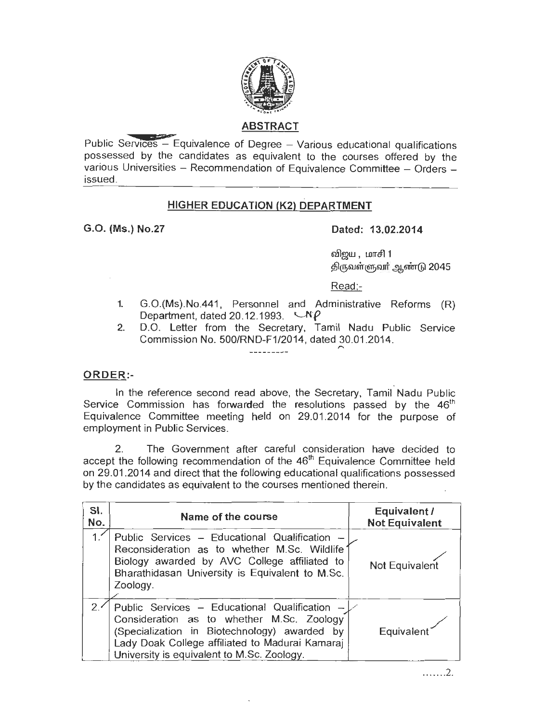

## ABSTRACT

Public Services  $-$  Equivalence of Degree  $-$  Various educational qualifications possessed by the candidates as equivalent to the courses offered by the various Universities - Recommendation of Equivalence Committee - Orders issued.

#### HIGHER EDUCATION (K2) DEPARTMENT

# G.0. (Ms.) No.27 Dated: 13.02.2014

விறய , மாசி 1 திருவள்ளுவர் ஆண்டு 2045

Read:-

- 1. G.O.(Ms).No.441 , Personnel and Administrative Reforms (R) Department, dated 20.12.1993.  $\Box$ N $\rho$
- 2. D.O. Letter from the Secretary, Tamil Nadu Public Service Commission No. 500/RND-F1/2014, dated 30.01.2014.

#### ORDER:-

ln the reference second read above, the Secretary, Tamil Nadu Public Service Commission has forwarded the resolutions passed by the  $46<sup>th</sup>$ Equivalence Committee meeting held on 29.01 .2014 for the purpose of employment in Public Services.

2. The Government after careful consideration have decided to accept the following recommendation of the 46<sup>th</sup> Equivalence Committee held on 29.01 .2014 and direct that the following educational qualifications possessed by the candidates as equivalent to the courses mentioned therein.

| SI.<br>No.     | Name of the course                                                                                                                                                                                                                          | Equivalent /<br><b>Not Equivalent</b> |
|----------------|---------------------------------------------------------------------------------------------------------------------------------------------------------------------------------------------------------------------------------------------|---------------------------------------|
| 1. $\check{ }$ | Public Services - Educational Qualification -<br>Reconsideration as to whether M.Sc. Wildlife<br>Biology awarded by AVC College affiliated to<br>Bharathidasan University is Equivalent to M.Sc.<br>Zoology.                                | Not Equivalent                        |
| 2.4            | Public Services - Educational Qualification -<br>Consideration as to whether M.Sc. Zoology<br>(Specialization in Biotechnology) awarded by<br>Lady Doak College affiliated to Madurai Kamaraj<br>University is equivalent to M.Sc. Zoology. | Equivalent                            |

. .. ... . 2.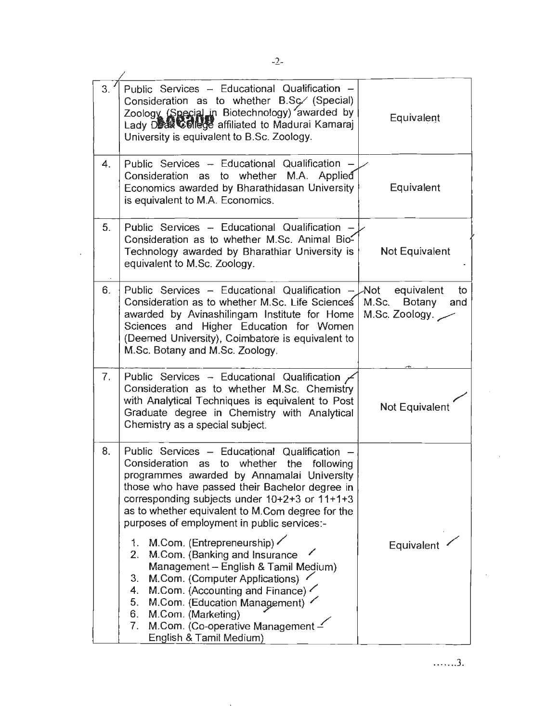| 3. | Public Services - Educational Qualification -<br>Consideration as to whether B.Sc. (Special)<br>Zoology (Special in Biotechnology) awarded by<br>University is equivalent to B.Sc. Zoology.                                                                                                                                                        | Equivalent                                                |
|----|----------------------------------------------------------------------------------------------------------------------------------------------------------------------------------------------------------------------------------------------------------------------------------------------------------------------------------------------------|-----------------------------------------------------------|
| 4. | Public Services - Educational Qualification -<br>Consideration as to whether M.A. Applied<br>Economics awarded by Bharathidasan University<br>is equivalent to M.A. Economics.                                                                                                                                                                     | Equivalent                                                |
| 5. | Public Services - Educational Qualification -<br>Consideration as to whether M.Sc. Animal Bio-<br>Technology awarded by Bharathiar University is<br>equivalent to M.Sc. Zoology.                                                                                                                                                                   | Not Equivalent                                            |
| 6. | Public Services - Educational Qualification - $\downarrow$ Not<br>Consideration as to whether M.Sc. Life Sciences<br>awarded by Avinashilingam Institute for Home<br>Sciences and Higher Education for Women<br>(Deemed University), Coimbatore is equivalent to<br>M.Sc. Botany and M.Sc. Zoology.                                                | equivalent<br>to<br>M.Sc. Botany<br>and<br>M.Sc. Zoology. |
| 7. | Public Services - Educational Qualification /<br>Consideration as to whether M.Sc. Chemistry<br>with Analytical Techniques is equivalent to Post<br>Graduate degree in Chemistry with Analytical<br>Chemistry as a special subject.                                                                                                                | <b>Not Equivalent</b>                                     |
| 8. | Public Services - Educational Qualification -<br>Consideration as to whether the following<br>programmes awarded by Annamalai University<br>those who have passed their Bachelor degree in<br>corresponding subjects under $10+2+3$ or $11+1+3$<br>as to whether equivalent to M.Com degree for the<br>purposes of employment in public services:- |                                                           |
|    | M.Com. (Entrepreneurship) $\angle$<br>1.<br>M.Com. (Banking and Insurance<br>2.<br>Management - English & Tamil Medium)<br>3.<br>M.Com. (Computer Applications)<br>M.Com. (Accounting and Finance)<br>4.<br>5.<br>M.Com. (Education Management)<br>6.<br>M.Com. (Marketing)<br>M.Com. (Co-operative Management -<br>7.<br>English & Tamil Medium)  | Equivalent                                                |

 $\bar{\mathcal{A}}$ 

. . ... .. 3.

 $\sim 10$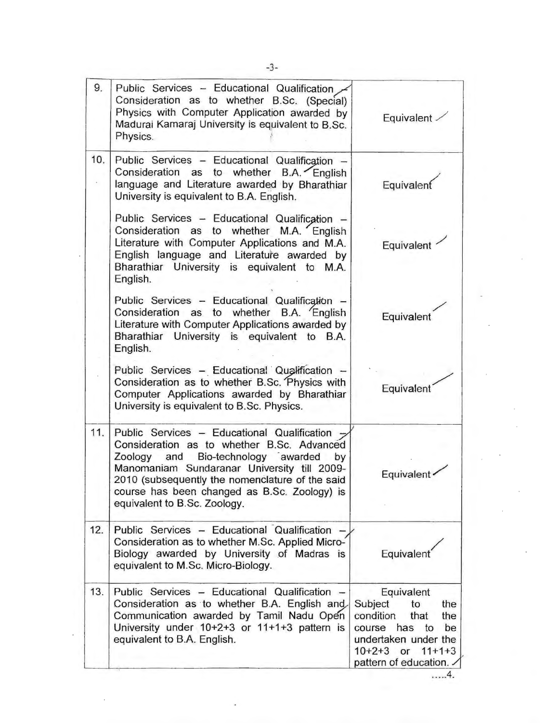| 9.  | Public Services - Educational Qualification<br>Consideration as to whether B.Sc. (Special)<br>Physics with Computer Application awarded by<br>Madurai Kamaraj University is equivalent to B.Sc.<br>Physics.                                                                                                                  | Equivalent -                                                                                                                                                         |
|-----|------------------------------------------------------------------------------------------------------------------------------------------------------------------------------------------------------------------------------------------------------------------------------------------------------------------------------|----------------------------------------------------------------------------------------------------------------------------------------------------------------------|
| 10. | Public Services - Educational Qualification -<br>Consideration as to whether B.A. English<br>language and Literature awarded by Bharathiar<br>University is equivalent to B.A. English.                                                                                                                                      | Equivalent                                                                                                                                                           |
|     | Public Services - Educational Qualification -<br>Consideration as to whether M.A. English<br>Literature with Computer Applications and M.A.<br>English language and Literature awarded by<br>Bharathiar University is equivalent to M.A.<br>English.                                                                         | Equivalent                                                                                                                                                           |
|     | Public Services - Educational Qualification -<br>Consideration as to whether B.A. English<br>Literature with Computer Applications awarded by<br>Bharathiar University is equivalent to B.A.<br>English.                                                                                                                     | Equivalent                                                                                                                                                           |
|     | Public Services - Educational Qualification -<br>Consideration as to whether B.Sc. Physics with<br>Computer Applications awarded by Bharathiar<br>University is equivalent to B.Sc. Physics.                                                                                                                                 | Equivalent                                                                                                                                                           |
| 11. | Public Services - Educational Qualification -<br>Consideration as to whether B.Sc. Advanced<br>Bio-technology awarded<br>Zoology and<br>by<br>Manomaniam Sundaranar University till 2009-<br>2010 (subsequently the nomenclature of the said<br>course has been changed as B.Sc. Zoology) is<br>equivalent to B.Sc. Zoology. | Equivalent                                                                                                                                                           |
| 12. | Public Services - Educational Qualification -<br>Consideration as to whether M.Sc. Applied Micro-<br>Biology awarded by University of Madras is<br>equivalent to M.Sc. Micro-Biology.                                                                                                                                        | Equivalent <sup>®</sup>                                                                                                                                              |
| 13. | Public Services - Educational Qualification<br>Consideration as to whether B.A. English and<br>Communication awarded by Tamil Nadu Open<br>University under 10+2+3 or 11+1+3 pattern is<br>equivalent to B.A. English.                                                                                                       | Equivalent<br>Subject<br>to<br>the<br>condition<br>that<br>the<br>course has to<br>be<br>undertaken under the<br>$10+2+3$ or $11+1+3$<br>pattern of education.<br>4. |

 $\bar{\phantom{a}}$ 

 $\overline{\phantom{a}}$ 

ł,

 $\overline{\phantom{a}}$ 

 $\epsilon$